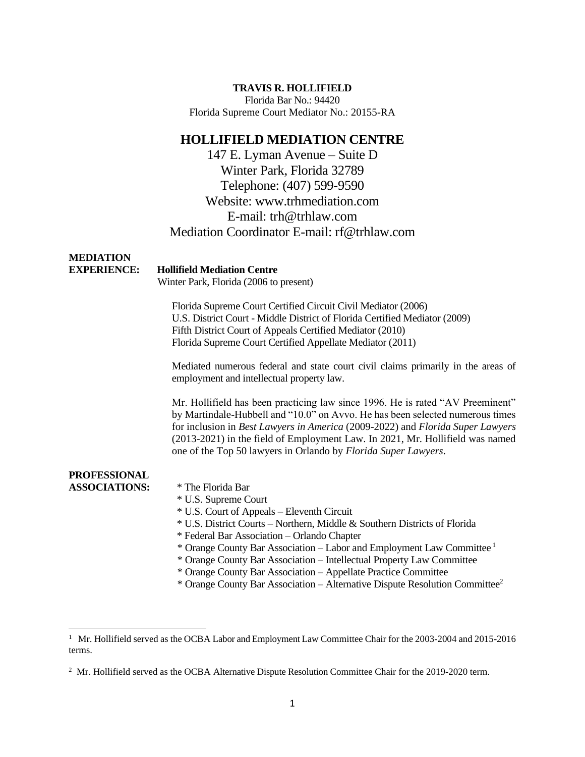## **TRAVIS R. HOLLIFIELD**

Florida Bar No.: 94420 Florida Supreme Court Mediator No.: 20155-RA

## **HOLLIFIELD MEDIATION CENTRE**

147 E. Lyman Avenue – Suite D Winter Park, Florida 32789 Telephone: (407) 599-9590 Website: www.trhmediation.com E-mail: trh@trhlaw.com Mediation Coordinator E-mail: rf@trhlaw.com

| <b>MEDIATION</b><br><b>EXPERIENCE:</b>      | <b>Hollifield Mediation Centre</b><br>Winter Park, Florida (2006 to present)                                                                                                                                                                                                                                                                                                                                                                                                                                                                   |
|---------------------------------------------|------------------------------------------------------------------------------------------------------------------------------------------------------------------------------------------------------------------------------------------------------------------------------------------------------------------------------------------------------------------------------------------------------------------------------------------------------------------------------------------------------------------------------------------------|
|                                             | Florida Supreme Court Certified Circuit Civil Mediator (2006)<br>U.S. District Court - Middle District of Florida Certified Mediator (2009)<br>Fifth District Court of Appeals Certified Mediator (2010)<br>Florida Supreme Court Certified Appellate Mediator (2011)                                                                                                                                                                                                                                                                          |
|                                             | Mediated numerous federal and state court civil claims primarily in the areas of<br>employment and intellectual property law.                                                                                                                                                                                                                                                                                                                                                                                                                  |
|                                             | Mr. Hollifield has been practicing law since 1996. He is rated "AV Preeminent"<br>by Martindale-Hubbell and "10.0" on Avvo. He has been selected numerous times<br>for inclusion in Best Lawyers in America (2009-2022) and Florida Super Lawyers<br>(2013-2021) in the field of Employment Law. In 2021, Mr. Hollifield was named<br>one of the Top 50 lawyers in Orlando by Florida Super Lawyers.                                                                                                                                           |
| <b>PROFESSIONAL</b><br><b>ASSOCIATIONS:</b> | * The Florida Bar<br>* U.S. Supreme Court<br>* U.S. Court of Appeals – Eleventh Circuit<br>* U.S. District Courts - Northern, Middle & Southern Districts of Florida<br>* Federal Bar Association - Orlando Chapter<br>* Orange County Bar Association - Labor and Employment Law Committee <sup>1</sup><br>* Orange County Bar Association - Intellectual Property Law Committee<br>* Orange County Bar Association - Appellate Practice Committee<br>* Orange County Bar Association – Alternative Dispute Resolution Committee <sup>2</sup> |

<sup>&</sup>lt;sup>1</sup> Mr. Hollifield served as the OCBA Labor and Employment Law Committee Chair for the 2003-2004 and 2015-2016 terms.

<sup>&</sup>lt;sup>2</sup> Mr. Hollifield served as the OCBA Alternative Dispute Resolution Committee Chair for the 2019-2020 term.